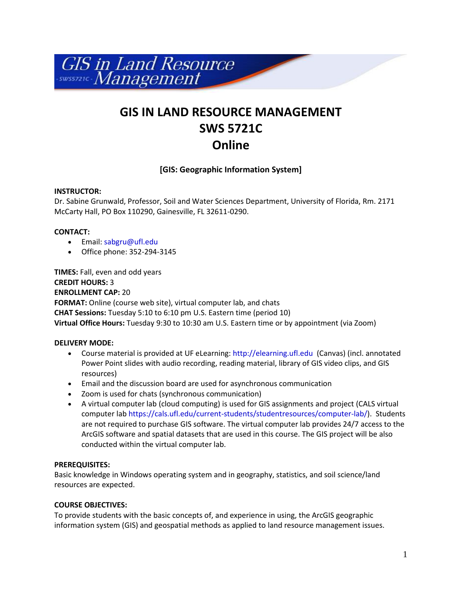

# **GIS IN LAND RESOURCE MANAGEMENT SWS 5721C Online**

# **[GIS: Geographic Information System]**

## **INSTRUCTOR:**

Dr. Sabine Grunwald, Professor, Soil and Water Sciences Department, University of Florida, Rm. 2171 McCarty Hall, PO Box 110290, Gainesville, FL 32611-0290.

## **CONTACT:**

- Email: [sabgru@ufl.edu](mailto:sabgru@ufl.edu)
- Office phone: 352-294-3145

**TIMES:** Fall, even and odd years **CREDIT HOURS:** 3 **ENROLLMENT CAP:** 20 **FORMAT:** Online (course web site), virtual computer lab, and chats **CHAT Sessions:** Tuesday 5:10 to 6:10 pm U.S. Eastern time (period 10) **Virtual Office Hours:** Tuesday 9:30 to 10:30 am U.S. Eastern time or by appointment (via Zoom)

# **DELIVERY MODE:**

- Course material is provided at UF eLearning: http://elearning.ufl.edu (Canvas) (incl. annotated Power Point slides with audio recording, reading material, library of GIS video clips, and GIS resources)
- Email and the discussion board are used for asynchronous communication
- Zoom is used for chats (synchronous communication)
- A virtual computer lab (cloud computing) is used for GIS assignments and project (CALS virtual computer la[b https://cals.ufl.edu/current-students/studentresources/computer-lab/\)](https://cals.ufl.edu/current-students/studentresources/computer-lab/). Students are not required to purchase GIS software. The virtual computer lab provides 24/7 access to the ArcGIS software and spatial datasets that are used in this course. The GIS project will be also conducted within the virtual computer lab.

## **PREREQUISITES:**

Basic knowledge in Windows operating system and in geography, statistics, and soil science/land resources are expected.

## **COURSE OBJECTIVES:**

To provide students with the basic concepts of, and experience in using, the ArcGIS geographic information system (GIS) and geospatial methods as applied to land resource management issues.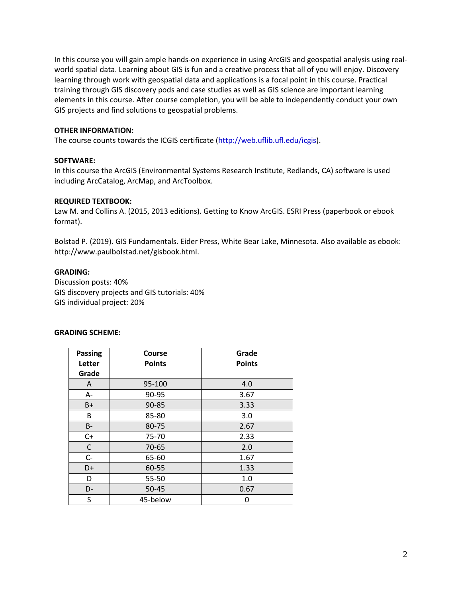In this course you will gain ample hands-on experience in using ArcGIS and geospatial analysis using realworld spatial data. Learning about GIS is fun and a creative process that all of you will enjoy. Discovery learning through work with geospatial data and applications is a focal point in this course. Practical training through GIS discovery pods and case studies as well as GIS science are important learning elements in this course. After course completion, you will be able to independently conduct your own GIS projects and find solutions to geospatial problems.

#### **OTHER INFORMATION:**

The course counts towards the ICGIS certificate [\(http://web.uflib.ufl.edu/icgis\)](http://web.uflib.ufl.edu/icgis).

#### **SOFTWARE:**

In this course the ArcGIS (Environmental Systems Research Institute, Redlands, CA) software is used including ArcCatalog, ArcMap, and ArcToolbox.

#### **REQUIRED TEXTBOOK:**

Law M. and Collins A. (2015, 2013 editions). Getting to Know ArcGIS. ESRI Press (paperbook or ebook format).

Bolstad P. (2019). GIS Fundamentals. Eider Press, White Bear Lake, Minnesota. Also available as ebook: http://www.paulbolstad.net/gisbook.html.

#### **GRADING:**

Discussion posts: 40% GIS discovery projects and GIS tutorials: 40% GIS individual project: 20%

#### **GRADING SCHEME:**

| <b>Passing</b><br>Letter<br>Grade | Course<br><b>Points</b> | Grade<br><b>Points</b> |
|-----------------------------------|-------------------------|------------------------|
| A                                 | 95-100                  | 4.0                    |
| $A -$                             | 90-95                   | 3.67                   |
| $B+$                              | 90-85                   | 3.33                   |
| B                                 | 85-80                   | 3.0                    |
| <b>B-</b>                         | 80-75                   | 2.67                   |
| $C+$                              | 75-70                   | 2.33                   |
| C                                 | 70-65                   | 2.0                    |
| $C -$                             | 65-60                   | 1.67                   |
| D+                                | 60-55                   | 1.33                   |
| D                                 | 55-50                   | 1.0                    |
| D-                                | $50 - 45$               | 0.67                   |
| S                                 | 45-below                |                        |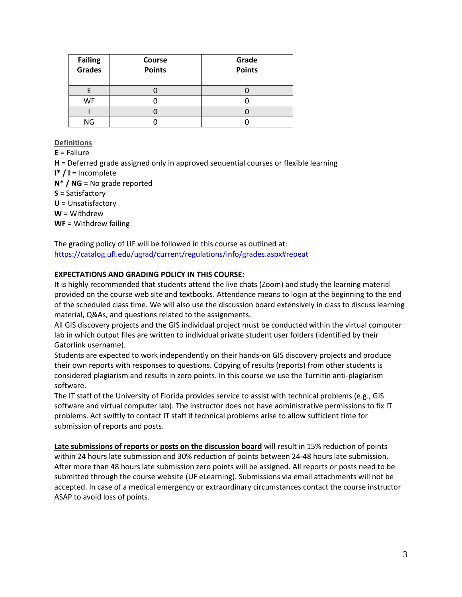| <b>Failing</b><br>Grades | <b>Course</b><br><b>Points</b> | Grade<br><b>Points</b> |
|--------------------------|--------------------------------|------------------------|
|                          |                                |                        |
| WF                       |                                |                        |
|                          |                                |                        |
| ΝG                       |                                |                        |

**Definitions**

**E** = Failure **H** = Deferred grade assigned only in approved sequential courses or flexible learning **I\* / I** = Incomplete **N\* / NG** = No grade reported **S** = Satisfactory **U** = Unsatisfactory **W** = Withdrew **WF** = Withdrew failing

The grading policy of UF will be followed in this course as outlined at: <https://catalog.ufl.edu/ugrad/current/regulations/info/grades.aspx#repeat>

# **EXPECTATIONS AND GRADING POLICY IN THIS COURSE:**

It is highly recommended that students attend the live chats (Zoom) and study the learning material provided on the course web site and textbooks. Attendance means to login at the beginning to the end of the scheduled class time. We will also use the discussion board extensively in class to discuss learning material, Q&As, and questions related to the assignments.

All GIS discovery projects and the GIS individual project must be conducted within the virtual computer lab in which output files are written to individual private student user folders (identified by their Gatorlink username).

Students are expected to work independently on their hands-on GIS discovery projects and produce their own reports with responses to questions. Copying of results (reports) from other students is considered plagiarism and results in zero points. In this course we use the Turnitin anti-plagiarism software.

The IT staff of the University of Florida provides service to assist with technical problems (e.g., GIS software and virtual computer lab). The instructor does not have administrative permissions to fix IT problems. Act swiftly to contact IT staff if technical problems arise to allow sufficient time for submission of reports and posts.

**Late submissions of reports or posts on the discussion board** will result in 15% reduction of points within 24 hours late submission and 30% reduction of points between 24-48 hours late submission. After more than 48 hours late submission zero points will be assigned. All reports or posts need to be submitted through the course website (UF eLearning). Submissions via email attachments will not be accepted. In case of a medical emergency or extraordinary circumstances contact the course instructor ASAP to avoid loss of points.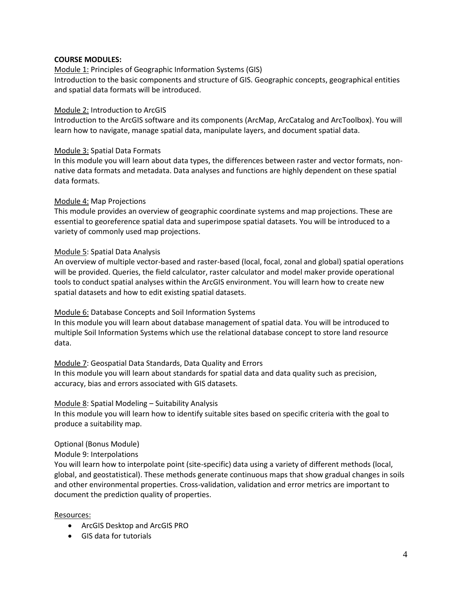## **COURSE MODULES:**

## Module 1: Principles of Geographic Information Systems (GIS)

Introduction to the basic components and structure of GIS. Geographic concepts, geographical entities and spatial data formats will be introduced.

## Module 2: Introduction to ArcGIS

Introduction to the ArcGIS software and its components (ArcMap, ArcCatalog and ArcToolbox). You will learn how to navigate, manage spatial data, manipulate layers, and document spatial data.

## Module 3: Spatial Data Formats

In this module you will learn about data types, the differences between raster and vector formats, nonnative data formats and metadata. Data analyses and functions are highly dependent on these spatial data formats.

## Module 4: Map Projections

This module provides an overview of geographic coordinate systems and map projections. These are essential to georeference spatial data and superimpose spatial datasets. You will be introduced to a variety of commonly used map projections.

## Module 5: Spatial Data Analysis

An overview of multiple vector-based and raster-based (local, focal, zonal and global) spatial operations will be provided. Queries, the field calculator, raster calculator and model maker provide operational tools to conduct spatial analyses within the ArcGIS environment. You will learn how to create new spatial datasets and how to edit existing spatial datasets.

# Module 6: Database Concepts and Soil Information Systems

In this module you will learn about database management of spatial data. You will be introduced to multiple Soil Information Systems which use the relational database concept to store land resource data.

# Module 7: Geospatial Data Standards, Data Quality and Errors

In this module you will learn about standards for spatial data and data quality such as precision, accuracy, bias and errors associated with GIS datasets.

## Module 8: Spatial Modeling – Suitability Analysis

In this module you will learn how to identify suitable sites based on specific criteria with the goal to produce a suitability map.

## Optional (Bonus Module)

# Module 9: Interpolations

You will learn how to interpolate point (site-specific) data using a variety of different methods (local, global, and geostatistical). These methods generate continuous maps that show gradual changes in soils and other environmental properties. Cross-validation, validation and error metrics are important to document the prediction quality of properties.

## Resources:

- ArcGIS Desktop and ArcGIS PRO
- GIS data for tutorials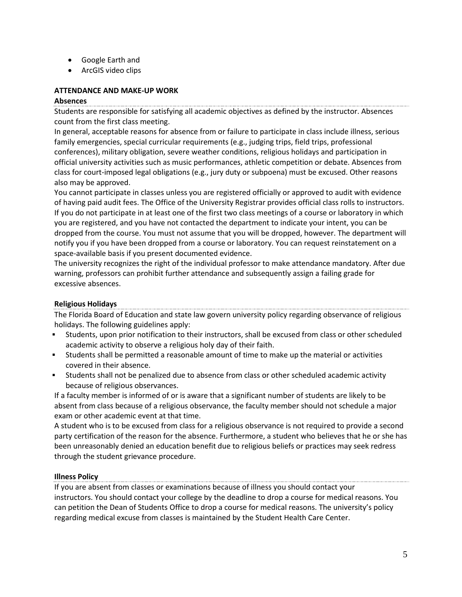- Google Earth and
- ArcGIS video clips

## **ATTENDANCE AND MAKE-UP WORK**

## **Absences**

Students are responsible for satisfying all academic objectives as defined by the instructor. Absences count from the first class meeting.

In general, acceptable reasons for absence from or failure to participate in class include illness, serious family emergencies, special curricular requirements (e.g., judging trips, field trips, professional conferences), military obligation, severe weather conditions, religious holidays and participation in official university activities such as music performances, athletic competition or debate. Absences from class for court-imposed legal obligations (e.g., jury duty or subpoena) must be excused. Other reasons also may be approved.

You cannot participate in classes unless you are registered officially or approved to audit with evidence of having paid audit fees. The Office of the University Registrar provides official class rolls to instructors. If you do not participate in at least one of the first two class meetings of a course or laboratory in which you are registered, and you have not contacted the department to indicate your intent, you can be dropped from the course. You must not assume that you will be dropped, however. The department will notify you if you have been dropped from a course or laboratory. You can request reinstatement on a space-available basis if you present documented evidence.

The university recognizes the right of the individual professor to make attendance mandatory. After due warning, professors can prohibit further attendance and subsequently assign a failing grade for excessive absences.

# **Religious Holidays**

The Florida Board of Education and state law govern university policy regarding observance of religious holidays. The following guidelines apply:

- Students, upon prior notification to their instructors, shall be excused from class or other scheduled academic activity to observe a religious holy day of their faith.
- Students shall be permitted a reasonable amount of time to make up the material or activities covered in their absence.
- Students shall not be penalized due to absence from class or other scheduled academic activity because of religious observances.

If a faculty member is informed of or is aware that a significant number of students are likely to be absent from class because of a religious observance, the faculty member should not schedule a major exam or other academic event at that time.

A student who is to be excused from class for a religious observance is not required to provide a second party certification of the reason for the absence. Furthermore, a student who believes that he or she has been unreasonably denied an education benefit due to religious beliefs or practices may seek redress through the student grievance procedure.

# **Illness Policy**

If you are absent from classes or examinations because of illness you should contact your instructors. You should contact your college by the deadline to drop a course for medical reasons. You can petition the [Dean of Students Office](https://www.dso.ufl.edu/) to drop a course for medical reasons. The university's policy regarding [medical excuse](http://shcc.ufl.edu/forms-records/excuse-notes/) from classes is maintained by the Student Health Care Center.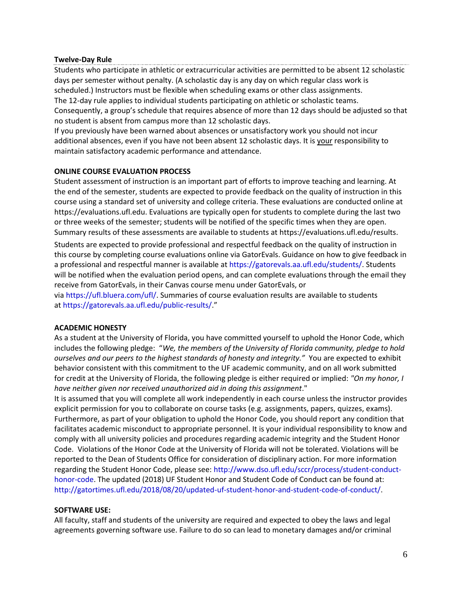#### **Twelve-Day Rule**

Students who participate in athletic or extracurricular activities are permitted to be absent 12 scholastic days per semester without penalty. (A scholastic day is any day on which regular class work is scheduled.) Instructors must be flexible when scheduling exams or other class assignments. The 12-day rule applies to individual students participating on athletic or scholastic teams. Consequently, a group's schedule that requires absence of more than 12 days should be adjusted so that no student is absent from campus more than 12 scholastic days.

If you previously have been warned about absences or unsatisfactory work you should not incur additional absences, even if you have not been absent 12 scholastic days. It is your responsibility to maintain satisfactory academic performance and attendance.

## **ONLINE COURSE EVALUATION PROCESS**

Student assessment of instruction is an important part of efforts to improve teaching and learning. At the end of the semester, students are expected to provide feedback on the quality of instruction in this course using a standard set of university and college criteria. These evaluations are conducted online at [https://evaluations.ufl.edu.](https://evaluations.ufl.edu/) Evaluations are typically open for students to complete during the last two or three weeks of the semester; students will be notified of the specific times when they are open. Summary results of these assessments are available to students at [https://evaluations.ufl.edu/results.](https://evaluations.ufl.edu/results)

Students are expected to provide professional and respectful feedback on the quality of instruction in this course by completing course evaluations online via GatorEvals. Guidance on how to give feedback in a professional and respectful manner is available at [https://gatorevals.aa.ufl.edu/students/.](https://gatorevals.aa.ufl.edu/students/) Students will be notified when the evaluation period opens, and can complete evaluations through the email they receive from GatorEvals, in their Canvas course menu under GatorEvals, or

via [https://ufl.bluera.com/ufl/.](https://urldefense.proofpoint.com/v2/url?u=https-3A__ufl.bluera.com_ufl_&d=DwMFAg&c=sJ6xIWYx-zLMB3EPkvcnVg&r=y2HjEMjRMHJhfdvLrqJZlYczRsfp5e4TfQjHuc5rVHg&m=WXko6OK_Ha6T00ZVAsEaSh99qRXHOgMNFRywCoehRho&s=itVU46DDJjnIg4CW6efJOOLgPjdzsPvCghyfzJoFONs&e=) Summaries of course evaluation results are available to students at <https://gatorevals.aa.ufl.edu/public-results/>."

## **ACADEMIC HONESTY**

As a student at the University of Florida, you have committed yourself to uphold the Honor Code, which includes the following pledge: "*We, the members of the University of Florida community, pledge to hold ourselves and our peers to the highest standards of honesty and integrity."* You are expected to exhibit behavior consistent with this commitment to the UF academic community, and on all work submitted for credit at the University of Florida, the following pledge is either required or implied: *"On my honor, I have neither given nor received unauthorized aid in doing this assignment*."

It is assumed that you will complete all work independently in each course unless the instructor provides explicit permission for you to collaborate on course tasks (e.g. assignments, papers, quizzes, exams). Furthermore, as part of your obligation to uphold the Honor Code, you should report any condition that facilitates academic misconduct to appropriate personnel. It is your individual responsibility to know and comply with all university policies and procedures regarding academic integrity and the Student Honor Code. Violations of the Honor Code at the University of Florida will not be tolerated. Violations will be reported to the Dean of Students Office for consideration of disciplinary action. For more information regarding the Student Honor Code, please see: [http://www.dso.ufl.edu/sccr/process/student-conduct](http://www.dso.ufl.edu/sccr/process/student-conduct-honor-code)[honor-code.](http://www.dso.ufl.edu/sccr/process/student-conduct-honor-code) The updated (2018) UF Student Honor and Student Code of Conduct can be found at: [http://gatortimes.ufl.edu/2018/08/20/updated-uf-student-honor-and-student-code-of-conduct/.](http://gatortimes.ufl.edu/2018/08/20/updated-uf-student-honor-and-student-code-of-conduct/)

## **SOFTWARE USE:**

All faculty, staff and students of the university are required and expected to obey the laws and legal agreements governing software use. Failure to do so can lead to monetary damages and/or criminal